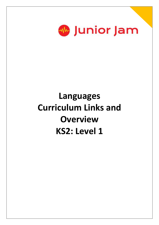

## **Languages Curriculum Links and Overview KS2: Level 1**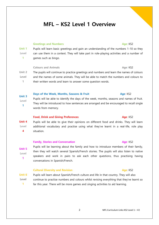## **MFL – KS2 Level 1 Overview**

### **Greetings and Numbers Age: KS2**

**Unit 1 Level 1** Pupils will learn basic greetings and gain an understanding of the numbers 1-10 so they can use them in a context. They will take part in role-playing activities and a number of games such as bingo.

**Colours and Animals Age: KS2** 

**Unit 2 Level 1** The pupils will continue to practice greetings and numbers and learn the names of colours and the names of some animals. They will be able to match the numbers and colours to their written words and learn to answer some question words.

#### **Unit 3 Days of the Week, Months, Seasons & Fruit Age: KS2**

**Level 1** Pupils will be able to identify the days of the week, months, seasons and names of fruit. They will be introduced to how sentences are arranged and be encouraged to recall single words from memory.

#### **Food, Drink and Giving Preferences Age: KS2**

**Unit 4 Level 4** Pupils will be able to give their opinions on different food and drinks. They will learn additional vocabulary and practise using what they've learnt in a real-life, role play situation.

### **Family, Stories and Conversation Age: KS2**

**Unit 5 Level** Pupils will be learning about the family and how to introduce members of their family, then they will watch several Spanish/French stories. The pupils will also listen to native speakers and work in pairs to ask each other questions, thus practising having conversations in Spanish/French.

#### **Cultural Diversity and Revision Age: KS2**

**Unit 6 Level 1** Pupils will learn about Spanish/French culture and life in that country. They will also continue to practise numbers and colours whilst revising everything that they've learnt so far this year. There will be more games and singing activities to aid learning.

#### 2 MFL Curriculum Links KS2 Level 1 – V2

**1**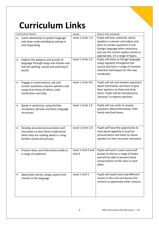# **Curriculum Links**

| <b>Curriculum Points</b>                                                                                                                                      | Levels                      | How is this achieved                                                                                                                                                                                                        |
|---------------------------------------------------------------------------------------------------------------------------------------------------------------|-----------------------------|-----------------------------------------------------------------------------------------------------------------------------------------------------------------------------------------------------------------------------|
| Listen attentively to spoken language<br>$\bullet$<br>and show understanding by joining in<br>and responding                                                  | Level 1 Units 1-6           | Pupils will hear authentic native<br>speakers in person and videos and<br>learn to answer questions in the<br>foreign language when necessary,<br>and say the correct spoken words as<br>appropriate, on a range of topics. |
| Explore the patterns and sounds of<br>language through songs and rhymes and<br>link the spelling, sound and meaning of<br>words                               | Level 1 Units 1-6           | Pupils will listen to foreign language<br>songs regularly throughout the<br>course and learn a range of memory<br>retention techniques for the new<br>vocabulary.                                                           |
| Engage in conversations; ask and<br>answer questions; express opinions and<br>respond to those of others; seek<br>clarification and help                      | Level 1 Units 4-6           | Pupils will ask and answers questions<br>about themselves and learn to give<br>their opinions on food and drink<br>items. Pupils will be introduced to<br>'because' to express opinions.                                    |
| Speak in sentences, using familiar<br>vocabulary, phrases and basic language<br>structures                                                                    | Level 1 Units 1-6           | Pupils will use verbs to answer<br>questions about themselves, their<br>family and food items.                                                                                                                              |
| Develop accurate pronunciation and<br>$\bullet$<br>intonation so that others understand<br>when they are reading aloud or using<br>familiar words and phrases | Level 1 Units 1-6           | Pupils will have the opportunity to<br>read aloud regularly to practise<br>pronunciation and listen to native<br>speakers to hear accurate intonation.                                                                      |
| Present ideas and information orally to<br>a range of audiences                                                                                               | evel 1 Unit 5 and<br>Unit 6 | Pupils will work in pairs and small<br>groups to discuss a range of topics<br>and will be able to present these<br>conversations to the class or each<br>other.                                                             |
| Appreciate stories, songs, poems and<br>rhymes in the language                                                                                                | Level 1 Unit 5              | Pupils will watch and read different<br>stories in this unit and discuss the<br>content to appreciate other cultures.                                                                                                       |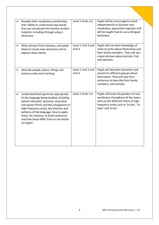| Broaden their vocabulary and develop<br>their ability to understand new words<br>that are introduced into familiar written<br>material, including through using a<br>dictionary                                                                                                                                                                                | Level 1 Units 1-6            | Pupils will be encouraged to work<br>independently to discover new<br>vocabulary, appreciate cognates and<br>will be taught how to use a bilingual<br>dictionary.                   |
|----------------------------------------------------------------------------------------------------------------------------------------------------------------------------------------------------------------------------------------------------------------------------------------------------------------------------------------------------------------|------------------------------|-------------------------------------------------------------------------------------------------------------------------------------------------------------------------------------|
| Write phrases from memory, and adapt<br>these to create new sentences and to<br>express ideas clearly                                                                                                                                                                                                                                                          | Level 1 Unit 3 and<br>Unit 4 | Pupils will use their knowledge of<br>verbs to write about themselves and<br>their family members. They will also<br>create phrases about animals, fruit<br>and opinions.           |
| Describe people, places, things and<br>actions orally and in writing                                                                                                                                                                                                                                                                                           | Level 1 Unit 2 and<br>Unit 5 | Pupils will describe characters and<br>present to different groups about<br>themselves. They will also form<br>sentences to describe their family<br>members, and animals.          |
| Understand basic grammar appropriate<br>to the language being studied, including<br>(where relevant): feminine, masculine<br>and neuter forms and the conjugation of<br>high-frequency verbs; key features and<br>patterns of the language; how to apply<br>these, for instance, to build sentences;<br>and how these differ from or are similar<br>to English | Level 1 Units 1-6            | Pupils will know the genders of new<br>vocabulary throughout all the topics,<br>and use the different forms of high-<br>frequency verbs such as 'to like', 'to<br>have' and 'to be' |